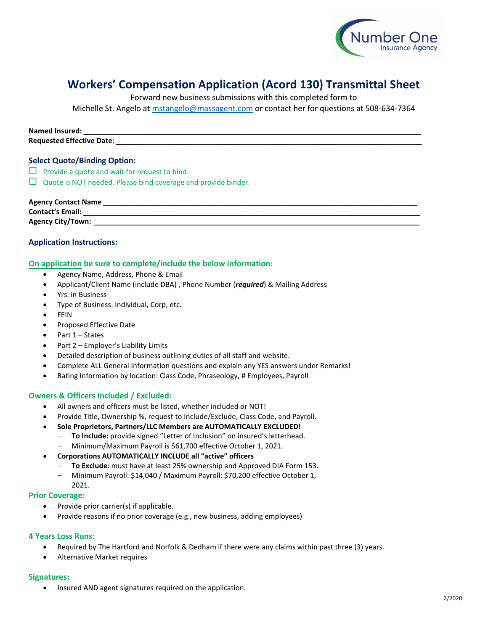

## **Workers' Compensation Application (Acord 130) Transmittal Sheet**

Forward new business submissions with this completed form to

Michelle St. Angelo at [mstangelo@massagent.com](mailto:mstangelo@massagent.com) or contact her for questions at 508-634-7364

#### **Named Insured:** \_\_\_\_\_\_\_\_\_\_\_\_\_\_\_\_\_\_\_\_\_\_\_\_\_\_\_\_\_\_\_\_\_\_\_\_\_\_\_\_\_\_\_\_\_\_\_\_\_\_\_\_\_\_\_\_\_\_\_\_\_\_\_\_\_\_\_\_\_\_\_\_\_\_\_\_\_\_\_\_\_\_\_\_\_\_

**Requested Effective Date:** 

#### **Select Quote/Binding Option:**

- $\Box$  Provide a quote and wait for request to bind.
- $\Box$  Quote is NOT needed. Please bind coverage and provide binder.

#### **Agency Contact Name** \_\_\_\_\_\_\_\_\_\_\_\_\_\_\_\_\_\_\_\_\_\_\_\_\_\_\_\_\_\_\_\_\_\_\_\_\_\_\_\_\_\_\_\_\_\_\_\_\_\_\_\_\_\_\_\_\_\_\_\_\_\_\_\_\_\_\_\_\_\_\_\_\_\_\_\_\_\_\_\_\_\_

**Contact's Email:** \_\_\_\_\_\_\_\_\_\_\_\_\_\_\_\_\_\_\_\_\_\_\_\_\_\_\_\_\_\_\_\_\_\_\_\_\_\_\_\_\_\_\_\_\_\_\_\_\_\_\_\_\_\_\_\_\_\_\_\_\_\_\_\_\_\_\_\_\_\_\_\_\_\_\_\_\_\_\_\_\_\_\_\_\_\_\_\_

**Agency City/Town:** \_\_\_\_\_\_\_\_\_\_\_\_\_\_\_\_\_\_\_\_\_\_\_\_\_\_\_\_\_\_\_\_\_\_\_\_\_\_\_\_\_\_\_\_\_\_\_\_\_\_\_\_\_\_\_\_\_\_\_\_\_\_\_\_\_\_\_\_\_\_\_\_\_\_\_\_\_\_\_\_\_\_\_\_\_

#### **Application Instructions:**

#### **On application be sure to complete/include the below information:**

- Agency Name, Address, Phone & Email
- Applicant/Client Name (include DBA) , Phone Number (*required*) & Mailing Address
- Yrs. in Business
- Type of Business: Individual, Corp, etc.
- **FEIN**
- Proposed Effective Date
- Part 1 States
- Part 2 Employer's Liability Limits
- Detailed description of business outlining duties of all staff and website.
- Complete ALL General Information questions and explain any YES answers under Remarks!
- Rating Information by location: Class Code, Phraseology, # Employees, Payroll

#### **Owners & Officers Included / Excluded:**

- All owners and officers must be listed, whether included or NOT!
- Provide Title, Ownership %, request to Include/Exclude, Class Code, and Payroll.
- **Sole Proprietors, Partners/LLC Members are AUTOMATICALLY EXCLUDED!**
	- To Include: provide signed "Letter of Inclusion" on insured's letterhead.
	- Minimum/Maximum Payroll is \$61,700 effective October 1, 2021.

#### • **Corporations AUTOMATICALLY INCLUDE all "active" officers**

- To Exclude: must have at least 25% ownership and Approved DIA Form 153.
- Minimum Payroll: \$14,040 / Maximum Payroll: \$70,200 effective October 1, 2021.

#### **Prior Coverage:**

- Provide prior carrier(s) if applicable.
- Provide reasons if no prior coverage (e.g., new business, adding employees)

#### **4 Years Loss Runs:**

- Required by The Hartford and Norfolk & Dedham if there were any claims within past three (3) years.
- Alternative Market requires

#### **Signatures:**

• Insured AND agent signatures required on the application.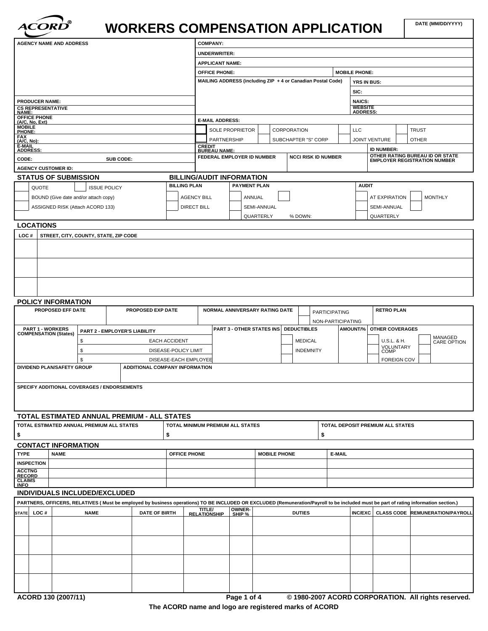

# WORKERS COMPENSATION APPLICATION

| <b>AGENCY NAME AND ADDRESS</b>                                                           |                     |                                       |                      |                       | <b>COMPANY:</b>                      |                                                             |                     |             |                            |                      |                                      |                      |                          |              |                                                                 |
|------------------------------------------------------------------------------------------|---------------------|---------------------------------------|----------------------|-----------------------|--------------------------------------|-------------------------------------------------------------|---------------------|-------------|----------------------------|----------------------|--------------------------------------|----------------------|--------------------------|--------------|-----------------------------------------------------------------|
|                                                                                          |                     |                                       |                      |                       | <b>UNDERWRITER:</b>                  |                                                             |                     |             |                            |                      |                                      |                      |                          |              |                                                                 |
|                                                                                          |                     |                                       |                      |                       |                                      | <b>APPLICANT NAME:</b>                                      |                     |             |                            |                      |                                      |                      |                          |              |                                                                 |
|                                                                                          |                     |                                       |                      |                       | <b>OFFICE PHONE:</b>                 |                                                             |                     |             |                            |                      | <b>MOBILE PHONE:</b>                 |                      |                          |              |                                                                 |
|                                                                                          |                     |                                       |                      |                       |                                      | MAILING ADDRESS (including ZIP + 4 or Canadian Postal Code) |                     |             |                            |                      |                                      | YRS IN BUS:          |                          |              |                                                                 |
|                                                                                          |                     |                                       |                      |                       |                                      |                                                             |                     |             |                            |                      | SIC:                                 |                      |                          |              |                                                                 |
| <b>PRODUCER NAME:</b>                                                                    |                     |                                       |                      |                       |                                      |                                                             |                     |             |                            |                      | <b>NAICS:</b>                        |                      |                          |              |                                                                 |
| <b>CS REPRESENTATIVE</b><br><b>NAME:</b>                                                 |                     |                                       |                      |                       |                                      |                                                             |                     |             |                            |                      | <b>WEBSITE</b>                       | <b>ADDRESS:</b>      |                          |              |                                                                 |
| OFFICE PHONE<br>(A/C, No, Ext)                                                           |                     |                                       |                      |                       |                                      | <b>E-MAIL ADDRESS:</b>                                      |                     |             |                            |                      |                                      |                      |                          |              |                                                                 |
| <b>MOBILE</b><br>PHONE:                                                                  |                     |                                       |                      |                       |                                      | <b>SOLE PROPRIETOR</b>                                      |                     | CORPORATION |                            |                      | LLC                                  |                      |                          | <b>TRUST</b> |                                                                 |
| <b>FAX</b><br>(A/C, No)                                                                  |                     |                                       |                      |                       |                                      | PARTNERSHIP                                                 |                     |             | SUBCHAPTER "S" CORP        |                      |                                      | <b>JOINT VENTURE</b> |                          | <b>OTHER</b> |                                                                 |
| E-MAIL<br><b>ADDRESS:</b>                                                                |                     |                                       |                      |                       | <b>CREDIT</b><br><b>BUREAU NAME:</b> |                                                             |                     |             |                            |                      |                                      |                      | <b>ID NUMBER:</b>        |              |                                                                 |
| CODE:                                                                                    |                     | SUB CODE:                             |                      |                       |                                      | FEDERAL EMPLOYER ID NUMBER                                  |                     |             | <b>NCCI RISK ID NUMBER</b> |                      |                                      |                      |                          |              | OTHER RATING BUREAU ID OR STATE<br>EMPLOYER REGISTRATION NUMBER |
| <b>AGENCY CUSTOMER ID:</b>                                                               |                     |                                       |                      |                       |                                      |                                                             |                     |             |                            |                      |                                      |                      |                          |              |                                                                 |
| <b>STATUS OF SUBMISSION</b>                                                              |                     |                                       |                      |                       |                                      | <b>BILLING/AUDIT INFORMATION</b>                            |                     |             |                            |                      |                                      |                      |                          |              |                                                                 |
| QUOTE                                                                                    | <b>ISSUE POLICY</b> |                                       |                      | <b>BILLING PLAN</b>   |                                      | <b>PAYMENT PLAN</b>                                         |                     |             |                            |                      |                                      | <b>AUDIT</b>         |                          |              |                                                                 |
| BOUND (Give date and/or attach copy)                                                     |                     |                                       |                      | <b>AGENCY BILL</b>    |                                      | ANNUAL                                                      |                     |             |                            |                      |                                      |                      | <b>AT EXPIRATION</b>     |              | <b>MONTHLY</b>                                                  |
| ASSIGNED RISK (Attach ACORD 133)                                                         |                     |                                       |                      | <b>DIRECT BILL</b>    |                                      |                                                             | SEMI-ANNUAL         |             |                            |                      |                                      |                      | SEMI-ANNUAL              |              |                                                                 |
|                                                                                          |                     |                                       |                      |                       |                                      |                                                             | QUARTERLY           |             | % DOWN:                    |                      |                                      | QUARTERLY            |                          |              |                                                                 |
| <b>LOCATIONS</b>                                                                         |                     |                                       |                      |                       |                                      |                                                             |                     |             |                            |                      |                                      |                      |                          |              |                                                                 |
|                                                                                          |                     |                                       |                      |                       |                                      |                                                             |                     |             |                            |                      |                                      |                      |                          |              |                                                                 |
| POLICY INFORMATION                                                                       |                     |                                       |                      |                       |                                      |                                                             |                     |             |                            |                      |                                      |                      |                          |              |                                                                 |
| PROPOSED EFF DATE                                                                        |                     | PROPOSED EXP DATE                     |                      |                       |                                      | NORMAL ANNIVERSARY RATING DATE                              |                     |             |                            | <b>PARTICIPATING</b> |                                      |                      | <b>RETRO PLAN</b>        |              |                                                                 |
| <b>PART 1 - WORKERS</b>                                                                  |                     |                                       |                      |                       |                                      | <b>PART 3 - OTHER STATES INS</b>                            |                     |             | <b>DEDUCTIBLES</b>         |                      | NON-PARTICIPATING<br><b>AMOUNT/%</b> |                      | <b>OTHER COVERAGES</b>   |              |                                                                 |
| <b>COMPENSATION (States)</b>                                                             |                     | PART 2 - EMPLOYER'S LIABILITY         |                      |                       |                                      |                                                             |                     |             |                            |                      |                                      |                      |                          |              |                                                                 |
|                                                                                          | \$                  |                                       | <b>EACH ACCIDENT</b> |                       |                                      |                                                             |                     |             | <b>MEDICAL</b>             |                      |                                      |                      | U.S.L. & H.<br>VOLUNTARY |              | MANAGED<br>CARE OPTION                                          |
|                                                                                          | \$                  |                                       |                      | DISEASE-POLICY LIMIT  |                                      |                                                             |                     |             | <b>INDEMNITY</b>           |                      |                                      |                      | COMP                     |              |                                                                 |
| DIVIDEND PLAN/SAFETY GROUP                                                               | \$                  | <b>ADDITIONAL COMPANY INFORMATION</b> |                      | DISEASE-EACH EMPLOYEE |                                      |                                                             |                     |             |                            |                      |                                      |                      | <b>FOREIGN COV</b>       |              |                                                                 |
| SPECIFY ADDITIONAL COVERAGES / ENDORSEMENTS                                              |                     |                                       |                      |                       |                                      |                                                             |                     |             |                            |                      |                                      |                      |                          |              |                                                                 |
|                                                                                          |                     |                                       |                      |                       |                                      |                                                             |                     |             |                            |                      |                                      |                      |                          |              |                                                                 |
| TOTAL ESTIMATED ANNUAL PREMIUM - ALL STATES<br>TOTAL ESTIMATED ANNUAL PREMIUM ALL STATES |                     |                                       |                      |                       |                                      | TOTAL MINIMUM PREMIUM ALL STATES                            |                     |             |                            |                      | TOTAL DEPOSIT PREMIUM ALL STATES     |                      |                          |              |                                                                 |
| \$                                                                                       |                     |                                       | \$                   |                       |                                      |                                                             |                     |             |                            | \$                   |                                      |                      |                          |              |                                                                 |
|                                                                                          |                     |                                       |                      |                       |                                      |                                                             |                     |             |                            |                      |                                      |                      |                          |              |                                                                 |
| <b>CONTACT INFORMATION</b><br><b>TYPE</b><br><b>NAME</b>                                 |                     |                                       |                      | OFFICE PHONE          |                                      |                                                             | <b>MOBILE PHONE</b> |             |                            | E-MAIL               |                                      |                      |                          |              |                                                                 |
| <b>INSPECTION</b>                                                                        |                     |                                       |                      |                       |                                      |                                                             |                     |             |                            |                      |                                      |                      |                          |              |                                                                 |
| <b>ACCTNG</b><br><b>RECORD</b>                                                           |                     |                                       |                      |                       |                                      |                                                             |                     |             |                            |                      |                                      |                      |                          |              |                                                                 |

#### **INDIVIDUALS INCLUDED/EXCLUDED**

| PARTNERS, OFFICERS, RELATIVES (Must be employed by business operations) TO BE INCLUDED OR EXCLUDED (Remuneration/Payroll to be included must be part of rating information section.) |      |             |                      |                                      |                  |               |  |  |                                             |  |  |
|--------------------------------------------------------------------------------------------------------------------------------------------------------------------------------------|------|-------------|----------------------|--------------------------------------|------------------|---------------|--|--|---------------------------------------------|--|--|
| <b>STATE</b>                                                                                                                                                                         | LOC# | <b>NAME</b> | <b>DATE OF BIRTH</b> | <b>TITLE/</b><br><b>RELATIONSHIP</b> | OWNER-<br>SHIP % | <b>DUTIES</b> |  |  | │INC/EXC│ CLASS CODE │REMUNERATION/PAYROLL│ |  |  |
|                                                                                                                                                                                      |      |             |                      |                                      |                  |               |  |  |                                             |  |  |
|                                                                                                                                                                                      |      |             |                      |                                      |                  |               |  |  |                                             |  |  |
|                                                                                                                                                                                      |      |             |                      |                                      |                  |               |  |  |                                             |  |  |
|                                                                                                                                                                                      |      |             |                      |                                      |                  |               |  |  |                                             |  |  |
|                                                                                                                                                                                      |      |             |                      |                                      |                  |               |  |  |                                             |  |  |
|                                                                                                                                                                                      |      |             |                      |                                      |                  |               |  |  |                                             |  |  |
|                                                                                                                                                                                      |      |             |                      |                                      |                  |               |  |  |                                             |  |  |
|                                                                                                                                                                                      |      |             |                      |                                      |                  |               |  |  |                                             |  |  |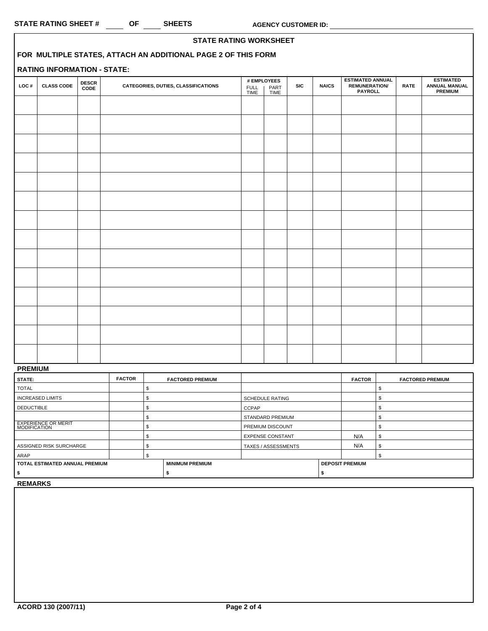|      |                                    |                       |                                                               |              |                             |            |              |                                                                   |             | <b>STATE RATING WORKSHEET</b>                              |  |  |  |  |  |  |  |  |
|------|------------------------------------|-----------------------|---------------------------------------------------------------|--------------|-----------------------------|------------|--------------|-------------------------------------------------------------------|-------------|------------------------------------------------------------|--|--|--|--|--|--|--|--|
|      |                                    |                       | FOR MULTIPLE STATES, ATTACH AN ADDITIONAL PAGE 2 OF THIS FORM |              |                             |            |              |                                                                   |             |                                                            |  |  |  |  |  |  |  |  |
|      | <b>RATING INFORMATION - STATE:</b> |                       |                                                               |              |                             |            |              |                                                                   |             |                                                            |  |  |  |  |  |  |  |  |
| LOC# | <b>CLASS CODE</b>                  | <b>DESCR<br/>CODE</b> | CATEGORIES, DUTIES, CLASSIFICATIONS                           | FULL<br>TIME | # EMPLOYEES<br>PART<br>TIME | <b>SIC</b> | <b>NAICS</b> | <b>ESTIMATED ANNUAL</b><br><b>REMUNERATION/</b><br><b>PAYROLL</b> | <b>RATE</b> | <b>ESTIMATED</b><br><b>ANNUAL MANUAL</b><br><b>PREMIUM</b> |  |  |  |  |  |  |  |  |
|      |                                    |                       |                                                               |              |                             |            |              |                                                                   |             |                                                            |  |  |  |  |  |  |  |  |
|      |                                    |                       |                                                               |              |                             |            |              |                                                                   |             |                                                            |  |  |  |  |  |  |  |  |
|      |                                    |                       |                                                               |              |                             |            |              |                                                                   |             |                                                            |  |  |  |  |  |  |  |  |
|      |                                    |                       |                                                               |              |                             |            |              |                                                                   |             |                                                            |  |  |  |  |  |  |  |  |
|      |                                    |                       |                                                               |              |                             |            |              |                                                                   |             |                                                            |  |  |  |  |  |  |  |  |
|      |                                    |                       |                                                               |              |                             |            |              |                                                                   |             |                                                            |  |  |  |  |  |  |  |  |
|      |                                    |                       |                                                               |              |                             |            |              |                                                                   |             |                                                            |  |  |  |  |  |  |  |  |
|      |                                    |                       |                                                               |              |                             |            |              |                                                                   |             |                                                            |  |  |  |  |  |  |  |  |
|      |                                    |                       |                                                               |              |                             |            |              |                                                                   |             |                                                            |  |  |  |  |  |  |  |  |
|      |                                    |                       |                                                               |              |                             |            |              |                                                                   |             |                                                            |  |  |  |  |  |  |  |  |
|      |                                    |                       |                                                               |              |                             |            |              |                                                                   |             |                                                            |  |  |  |  |  |  |  |  |
|      |                                    |                       |                                                               |              |                             |            |              |                                                                   |             |                                                            |  |  |  |  |  |  |  |  |
|      |                                    |                       |                                                               |              |                             |            |              |                                                                   |             |                                                            |  |  |  |  |  |  |  |  |
|      |                                    |                       |                                                               |              |                             |            |              |                                                                   |             |                                                            |  |  |  |  |  |  |  |  |
|      |                                    |                       |                                                               |              |                             |            |              |                                                                   |             |                                                            |  |  |  |  |  |  |  |  |
|      |                                    |                       |                                                               |              |                             |            |              |                                                                   |             |                                                            |  |  |  |  |  |  |  |  |
|      |                                    |                       |                                                               |              |                             |            |              |                                                                   |             |                                                            |  |  |  |  |  |  |  |  |

### **PREMIUM**

| <b>FACTOR</b>                    |  | <b>FACTORED PREMIUM</b> |                         |  | <b>FACTOR</b> | <b>FACTORED PREMIUM</b> |
|----------------------------------|--|-------------------------|-------------------------|--|---------------|-------------------------|
|                                  |  |                         |                         |  |               |                         |
|                                  |  |                         | <b>SCHEDULE RATING</b>  |  |               |                         |
|                                  |  |                         | CCPAP                   |  |               |                         |
|                                  |  |                         | <b>STANDARD PREMIUM</b> |  |               |                         |
|                                  |  |                         | <b>PREMIUM DISCOUNT</b> |  |               |                         |
|                                  |  |                         | <b>EXPENSE CONSTANT</b> |  | N/A           |                         |
|                                  |  |                         | TAXES / ASSESSMENTS     |  | N/A           |                         |
|                                  |  |                         |                         |  |               |                         |
| I TOTAL ESTIMATED ANNUAL PREMIUM |  | <b>MINIMUM PREMIUM</b>  |                         |  |               |                         |
|                                  |  |                         |                         |  |               |                         |
|                                  |  |                         |                         |  |               | <b>DEPOSIT PREMIUM</b>  |

**REMARKS**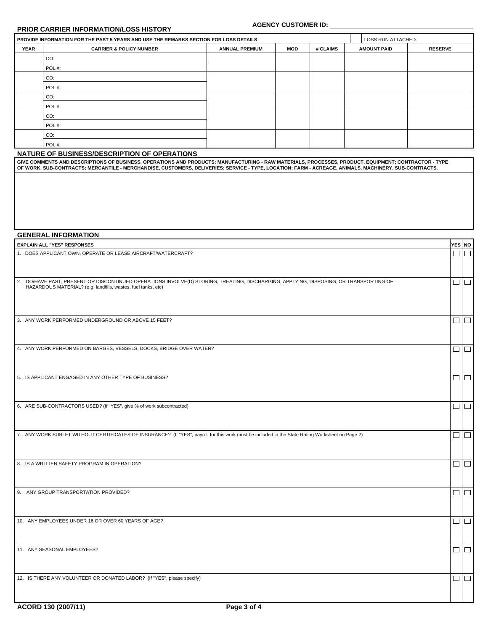#### **PRIOR CARRIER INFORMATION/LOSS HISTORY**

### **AGENCY CUSTOMER ID:**

 $\vert$ YES $\vert$  NO $\vert$ 

|             | <b>AGENCY CUSTOMER ID:</b><br><b>PRIOR CARRIER INFORMATION/LOSS HISTORY</b>           |                          |     |          |                    |                |  |  |
|-------------|---------------------------------------------------------------------------------------|--------------------------|-----|----------|--------------------|----------------|--|--|
|             | PROVIDE INFORMATION FOR THE PAST 5 YEARS AND USE THE REMARKS SECTION FOR LOSS DETAILS | <b>LOSS RUN ATTACHED</b> |     |          |                    |                |  |  |
| <b>YEAR</b> | <b>CARRIER &amp; POLICY NUMBER</b>                                                    | <b>ANNUAL PREMIUM</b>    | MOD | # CLAIMS | <b>AMOUNT PAID</b> | <b>RESERVE</b> |  |  |
|             | CO:                                                                                   |                          |     |          |                    |                |  |  |
|             | POL#:                                                                                 |                          |     |          |                    |                |  |  |
|             | CO:                                                                                   |                          |     |          |                    |                |  |  |
|             | POL#:                                                                                 |                          |     |          |                    |                |  |  |
|             | CO:                                                                                   |                          |     |          |                    |                |  |  |
|             | POL#:                                                                                 |                          |     |          |                    |                |  |  |
|             | CO:                                                                                   |                          |     |          |                    |                |  |  |
|             | POL#:                                                                                 |                          |     |          |                    |                |  |  |
|             | CO:                                                                                   |                          |     |          |                    |                |  |  |
|             | POL#:                                                                                 |                          |     |          |                    |                |  |  |

#### **NATURE OF BUSINESS/DESCRIPTION OF OPERATIONS**

GIVE COMMENTS AND DESCRIPTIONS OF BUSINESS, OPERATIONS AND PRODUCTS: MANUFACTURING - RAW MATERIALS, PROCESSES, PRODUCT, EQUIPMENT; CONTRACTOR - TYPE<br>OF WORK, SUB-CONTRACTS; MERCANTILE - MERCHANDISE, CUSTOMERS, DELIVERIES;

#### **GENERAL INFORMATION**

**EXPLAIN ALL "YES" RESPONSES** 

| 1. DOES APPLICANT OWN, OPERATE OR LEASE AIRCRAFT/WATERCRAFT?                                                                                                                                            |        | $\Box$ |
|---------------------------------------------------------------------------------------------------------------------------------------------------------------------------------------------------------|--------|--------|
| 2. DO/HAVE PAST, PRESENT OR DISCONTINUED OPERATIONS INVOLVE(D) STORING, TREATING, DISCHARGING, APPLYING, DISPOSING, OR TRANSPORTING OF<br>HAZARDOUS MATERIAL? (e.g. landfills, wastes, fuel tanks, etc) | $\Box$ |        |
| 3. ANY WORK PERFORMED UNDERGROUND OR ABOVE 15 FEET?                                                                                                                                                     |        | $\Box$ |
| 4. ANY WORK PERFORMED ON BARGES, VESSELS, DOCKS, BRIDGE OVER WATER?                                                                                                                                     |        | $\Box$ |
| 5. IS APPLICANT ENGAGED IN ANY OTHER TYPE OF BUSINESS?                                                                                                                                                  |        | $\Box$ |
| 6. ARE SUB-CONTRACTORS USED? (If "YES", give % of work subcontracted)                                                                                                                                   |        | $\Box$ |
| 7. ANY WORK SUBLET WITHOUT CERTIFICATES OF INSURANCE? (If "YES", payroll for this work must be included in the State Rating Worksheet on Page 2)                                                        |        | $\Box$ |
| 8. IS A WRITTEN SAFETY PROGRAM IN OPERATION?                                                                                                                                                            |        | $\Box$ |
| 9. ANY GROUP TRANSPORTATION PROVIDED?                                                                                                                                                                   |        | $\Box$ |
| 10. ANY EMPLOYEES UNDER 16 OR OVER 60 YEARS OF AGE?                                                                                                                                                     |        | $\Box$ |
| 11. ANY SEASONAL EMPLOYEES?                                                                                                                                                                             |        | $\Box$ |
| 12. IS THERE ANY VOLUNTEER OR DONATED LABOR? (If "YES", please specify)                                                                                                                                 | $\Box$ |        |